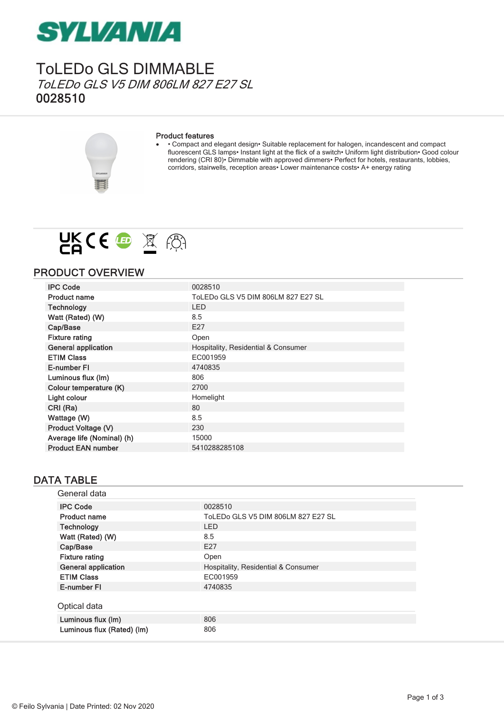

### ToLEDo GLS DIMMABLE ToLEDo GLS V5 DIM 806LM 827 E27 SL 0028510

#### Product features

· • Compact and elegant design• Suitable replacement for halogen, incandescent and compact fluorescent GLS lamps• Instant light at the flick of a switch• Uniform light distribution• Good colour rendering (CRI 80)• Dimmable with approved dimmers• Perfect for hotels, restaurants, lobbies, corridors, stairwells, reception areas• Lower maintenance costs• A+ energy rating



### PRODUCT OVERVIEW

| <b>IPC Code</b>            | 0028510                             |
|----------------------------|-------------------------------------|
| <b>Product name</b>        | ToLEDo GLS V5 DIM 806LM 827 E27 SL  |
| <b>Technology</b>          | <b>LED</b>                          |
| Watt (Rated) (W)           | 8.5                                 |
| Cap/Base                   | E27                                 |
| <b>Fixture rating</b>      | Open                                |
| <b>General application</b> | Hospitality, Residential & Consumer |
| <b>ETIM Class</b>          | EC001959                            |
| E-number FI                | 4740835                             |
| Luminous flux (Im)         | 806                                 |
| Colour temperature (K)     | 2700                                |
| Light colour               | Homelight                           |
| CRI (Ra)                   | 80                                  |
| Wattage (W)                | 8.5                                 |
| Product Voltage (V)        | 230                                 |
| Average life (Nominal) (h) | 15000                               |
| <b>Product EAN number</b>  | 5410288285108                       |

### DATA TABLE

| General data               |                                     |
|----------------------------|-------------------------------------|
| <b>IPC Code</b>            | 0028510                             |
| <b>Product name</b>        | ToLEDo GLS V5 DIM 806LM 827 E27 SL  |
| <b>Technology</b>          | <b>LED</b>                          |
| Watt (Rated) (W)           | 8.5                                 |
| Cap/Base                   | E27                                 |
| <b>Fixture rating</b>      | Open                                |
| <b>General application</b> | Hospitality, Residential & Consumer |
| <b>ETIM Class</b>          | EC001959                            |
| E-number FI                | 4740835                             |
| Optical data               |                                     |
| Luminous flux (Im)         | 806                                 |
| Luminous flux (Rated) (Im) | 806                                 |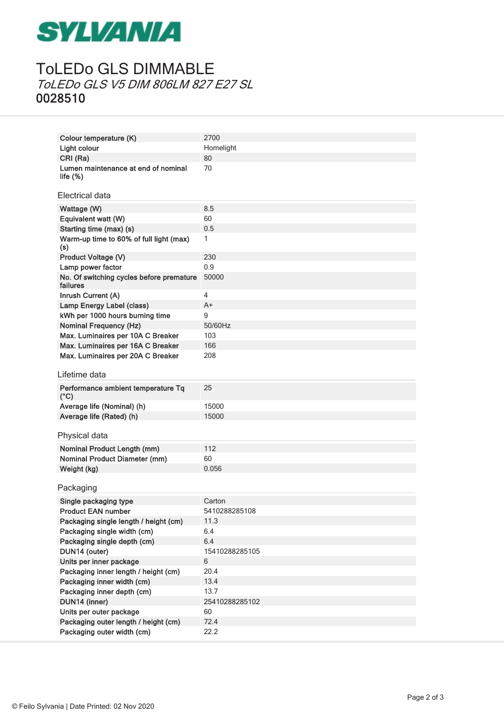# **SYLVANIA**

## ToLEDo GLS DIMMABLE ToLEDo GLS V5 DIM 806LM 827 E27 SL 0028510

| Colour temperature (K)                               | 2700           |
|------------------------------------------------------|----------------|
| Light colour                                         | Homelight      |
| CRI (Ra)                                             | 80             |
| Lumen maintenance at end of nominal<br>life $(\%)$   | 70             |
| Electrical data                                      |                |
| Wattage (W)                                          | 8.5            |
| Equivalent watt (W)                                  | 60             |
| Starting time (max) (s)                              | 0.5            |
| Warm-up time to 60% of full light (max)<br>(s)       | 1              |
| Product Voltage (V)                                  | 230            |
| Lamp power factor                                    | 0.9            |
| No. Of switching cycles before premature<br>failures | 50000          |
| Inrush Current (A)                                   | $\overline{4}$ |
| Lamp Energy Label (class)                            | A+             |
| kWh per 1000 hours burning time                      | 9              |
| <b>Nominal Frequency (Hz)</b>                        | 50/60Hz        |
| Max. Luminaires per 10A C Breaker                    | 103            |
| Max. Luminaires per 16A C Breaker                    | 166            |
| Max. Luminaires per 20A C Breaker                    | 208            |
|                                                      |                |
| Lifetime data                                        |                |
|                                                      |                |
| Performance ambient temperature Tq<br>$(^{\circ}C)$  | 25             |
| Average life (Nominal) (h)                           | 15000          |
| Average life (Rated) (h)                             | 15000          |
| Physical data                                        |                |
|                                                      | 112            |
| Nominal Product Length (mm)                          | 60             |
| <b>Nominal Product Diameter (mm)</b>                 | 0.056          |
| Weight (kg)                                          |                |
| Packaging                                            |                |
| Single packaging type                                | Carton         |
| <b>Product EAN number</b>                            | 5410288285108  |
| Packaging single length / height (cm)                | 11.3           |
| Packaging single width (cm)                          | 6.4            |
| Packaging single depth (cm)                          | 6.4            |
| DUN14 (outer)                                        | 15410288285105 |
| Units per inner package                              | 6              |
| Packaging inner length / height (cm)                 | 20.4           |
| Packaging inner width (cm)                           | 13.4           |
| Packaging inner depth (cm)                           | 13.7           |
| DUN14 (inner)                                        | 25410288285102 |
| Units per outer package                              | 60             |
| Packaging outer length / height (cm)                 | 72.4           |